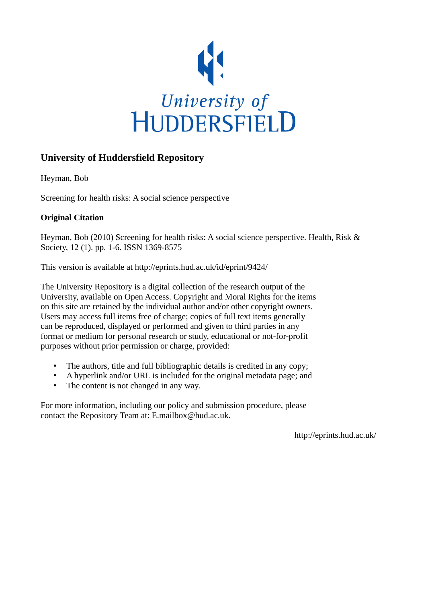

# **University of Huddersfield Repository**

Heyman, Bob

Screening for health risks: A social science perspective

### **Original Citation**

Heyman, Bob (2010) Screening for health risks: A social science perspective. Health, Risk & Society, 12 (1). pp. 1-6. ISSN 1369-8575

This version is available at http://eprints.hud.ac.uk/id/eprint/9424/

The University Repository is a digital collection of the research output of the University, available on Open Access. Copyright and Moral Rights for the items on this site are retained by the individual author and/or other copyright owners. Users may access full items free of charge; copies of full text items generally can be reproduced, displayed or performed and given to third parties in any format or medium for personal research or study, educational or not-for-profit purposes without prior permission or charge, provided:

- The authors, title and full bibliographic details is credited in any copy;
- A hyperlink and/or URL is included for the original metadata page; and
- The content is not changed in any way.

For more information, including our policy and submission procedure, please contact the Repository Team at: E.mailbox@hud.ac.uk.

http://eprints.hud.ac.uk/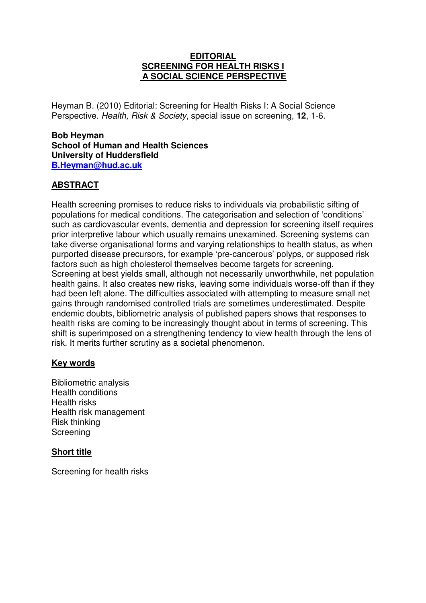#### **EDITORIAL SCREENING FOR HEALTH RISKS I A SOCIAL SCIENCE PERSPECTIVE**

Heyman B. (2010) Editorial: Screening for Health Risks I: A Social Science Perspective. Health, Risk & Society, special issue on screening, **12**, 1-6.

#### **Bob Heyman School of Human and Health Sciences University of Huddersfield B.Heyman@hud.ac.uk**

### **ABSTRACT**

Health screening promises to reduce risks to individuals via probabilistic sifting of populations for medical conditions. The categorisation and selection of 'conditions' such as cardiovascular events, dementia and depression for screening itself requires prior interpretive labour which usually remains unexamined. Screening systems can take diverse organisational forms and varying relationships to health status, as when purported disease precursors, for example 'pre-cancerous' polyps, or supposed risk factors such as high cholesterol themselves become targets for screening. Screening at best yields small, although not necessarily unworthwhile, net population health gains. It also creates new risks, leaving some individuals worse-off than if they had been left alone. The difficulties associated with attempting to measure small net gains through randomised controlled trials are sometimes underestimated. Despite endemic doubts, bibliometric analysis of published papers shows that responses to health risks are coming to be increasingly thought about in terms of screening. This shift is superimposed on a strengthening tendency to view health through the lens of risk. It merits further scrutiny as a societal phenomenon.

#### **Key words**

Bibliometric analysis Health conditions Health risks Health risk management Risk thinking Screening

#### **Short title**

Screening for health risks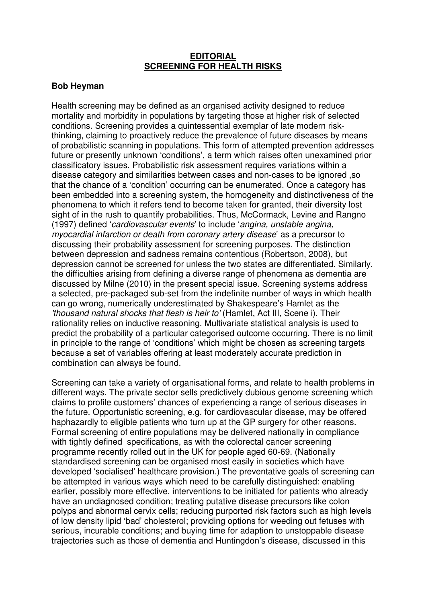#### **EDITORIAL SCREENING FOR HEALTH RISKS**

#### **Bob Heyman**

Health screening may be defined as an organised activity designed to reduce mortality and morbidity in populations by targeting those at higher risk of selected conditions. Screening provides a quintessential exemplar of late modern riskthinking, claiming to proactively reduce the prevalence of future diseases by means of probabilistic scanning in populations. This form of attempted prevention addresses future or presently unknown 'conditions', a term which raises often unexamined prior classificatory issues. Probabilistic risk assessment requires variations within a disease category and similarities between cases and non-cases to be ignored ,so that the chance of a 'condition' occurring can be enumerated. Once a category has been embedded into a screening system, the homogeneity and distinctiveness of the phenomena to which it refers tend to become taken for granted, their diversity lost sight of in the rush to quantify probabilities. Thus, McCormack, Levine and Rangno (1997) defined 'cardiovascular events' to include 'angina, unstable angina, myocardial infarction or death from coronary artery disease' as a precursor to discussing their probability assessment for screening purposes. The distinction between depression and sadness remains contentious (Robertson, 2008), but depression cannot be screened for unless the two states are differentiated. Similarly, the difficulties arising from defining a diverse range of phenomena as dementia are discussed by Milne (2010) in the present special issue. Screening systems address a selected, pre-packaged sub-set from the indefinite number of ways in which health can go wrong, numerically underestimated by Shakespeare's Hamlet as the 'thousand natural shocks that flesh is heir to' (Hamlet, Act III, Scene i). Their rationality relies on inductive reasoning. Multivariate statistical analysis is used to predict the probability of a particular categorised outcome occurring. There is no limit in principle to the range of 'conditions' which might be chosen as screening targets because a set of variables offering at least moderately accurate prediction in combination can always be found.

Screening can take a variety of organisational forms, and relate to health problems in different ways. The private sector sells predictively dubious genome screening which claims to profile customers' chances of experiencing a range of serious diseases in the future. Opportunistic screening, e.g. for cardiovascular disease, may be offered haphazardly to eligible patients who turn up at the GP surgery for other reasons. Formal screening of entire populations may be delivered nationally in compliance with tightly defined specifications, as with the colorectal cancer screening programme recently rolled out in the UK for people aged 60-69. (Nationally standardised screening can be organised most easily in societies which have developed 'socialised' healthcare provision.) The preventative goals of screening can be attempted in various ways which need to be carefully distinguished: enabling earlier, possibly more effective, interventions to be initiated for patients who already have an undiagnosed condition; treating putative disease precursors like colon polyps and abnormal cervix cells; reducing purported risk factors such as high levels of low density lipid 'bad' cholesterol; providing options for weeding out fetuses with serious, incurable conditions; and buying time for adaption to unstoppable disease trajectories such as those of dementia and Huntingdon's disease, discussed in this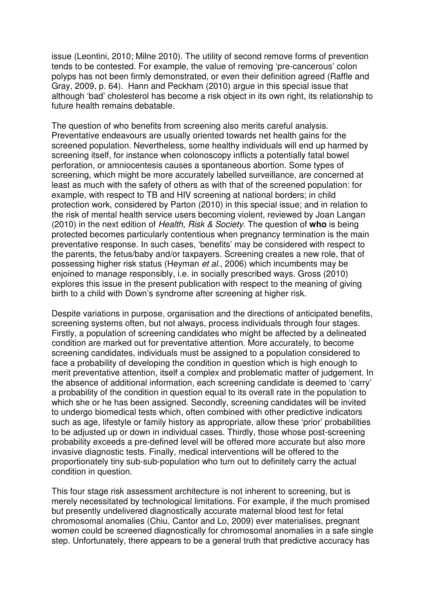issue (Leontini, 2010; Milne 2010). The utility of second remove forms of prevention tends to be contested. For example, the value of removing 'pre-cancerous' colon polyps has not been firmly demonstrated, or even their definition agreed (Raffle and Gray, 2009, p. 64). Hann and Peckham (2010) argue in this special issue that although 'bad' cholesterol has become a risk object in its own right, its relationship to future health remains debatable.

The question of who benefits from screening also merits careful analysis. Preventative endeavours are usually oriented towards net health gains for the screened population. Nevertheless, some healthy individuals will end up harmed by screening itself, for instance when colonoscopy inflicts a potentially fatal bowel perforation, or amniocentesis causes a spontaneous abortion. Some types of screening, which might be more accurately labelled surveillance, are concerned at least as much with the safety of others as with that of the screened population: for example, with respect to TB and HIV screening at national borders; in child protection work, considered by Parton (2010) in this special issue; and in relation to the risk of mental health service users becoming violent, reviewed by Joan Langan (2010) in the next edition of Health, Risk & Society. The question of **who** is being protected becomes particularly contentious when pregnancy termination is the main preventative response. In such cases, 'benefits' may be considered with respect to the parents, the fetus/baby and/or taxpayers. Screening creates a new role, that of possessing higher risk status (Heyman et al., 2006) which incumbents may be enjoined to manage responsibly, i.e. in socially prescribed ways. Gross (2010) explores this issue in the present publication with respect to the meaning of giving birth to a child with Down's syndrome after screening at higher risk.

Despite variations in purpose, organisation and the directions of anticipated benefits, screening systems often, but not always, process individuals through four stages. Firstly, a population of screening candidates who might be affected by a delineated condition are marked out for preventative attention. More accurately, to become screening candidates, individuals must be assigned to a population considered to face a probability of developing the condition in question which is high enough to merit preventative attention, itself a complex and problematic matter of judgement. In the absence of additional information, each screening candidate is deemed to 'carry' a probability of the condition in question equal to its overall rate in the population to which she or he has been assigned. Secondly, screening candidates will be invited to undergo biomedical tests which, often combined with other predictive indicators such as age, lifestyle or family history as appropriate, allow these 'prior' probabilities to be adjusted up or down in individual cases. Thirdly, those whose post-screening probability exceeds a pre-defined level will be offered more accurate but also more invasive diagnostic tests. Finally, medical interventions will be offered to the proportionately tiny sub-sub-population who turn out to definitely carry the actual condition in question.

This four stage risk assessment architecture is not inherent to screening, but is merely necessitated by technological limitations. For example, if the much promised but presently undelivered diagnostically accurate maternal blood test for fetal chromosomal anomalies (Chiu, Cantor and Lo, 2009) ever materialises, pregnant women could be screened diagnostically for chromosomal anomalies in a safe single step. Unfortunately, there appears to be a general truth that predictive accuracy has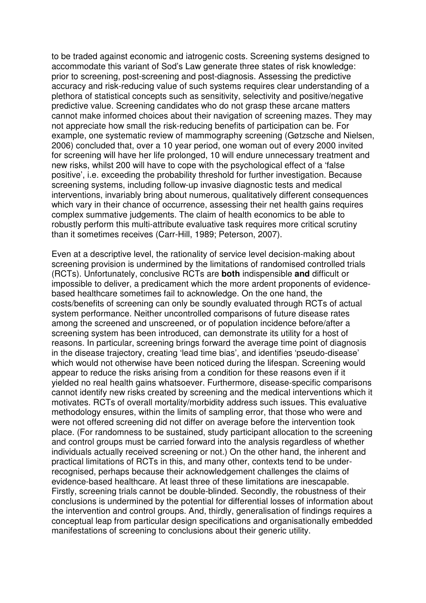to be traded against economic and iatrogenic costs. Screening systems designed to accommodate this variant of Sod's Law generate three states of risk knowledge: prior to screening, post-screening and post-diagnosis. Assessing the predictive accuracy and risk-reducing value of such systems requires clear understanding of a plethora of statistical concepts such as sensitivity, selectivity and positive/negative predictive value. Screening candidates who do not grasp these arcane matters cannot make informed choices about their navigation of screening mazes. They may not appreciate how small the risk-reducing benefits of participation can be. For example, one systematic review of mammography screening (Gøtzsche and Nielsen, 2006) concluded that, over a 10 year period, one woman out of every 2000 invited for screening will have her life prolonged, 10 will endure unnecessary treatment and new risks, whilst 200 will have to cope with the psychological effect of a 'false positive', i.e. exceeding the probability threshold for further investigation. Because screening systems, including follow-up invasive diagnostic tests and medical interventions, invariably bring about numerous, qualitatively different consequences which vary in their chance of occurrence, assessing their net health gains requires complex summative judgements. The claim of health economics to be able to robustly perform this multi-attribute evaluative task requires more critical scrutiny than it sometimes receives (Carr-Hill, 1989; Peterson, 2007).

Even at a descriptive level, the rationality of service level decision-making about screening provision is undermined by the limitations of randomised controlled trials (RCTs). Unfortunately, conclusive RCTs are **both** indispensible **and** difficult or impossible to deliver, a predicament which the more ardent proponents of evidencebased healthcare sometimes fail to acknowledge. On the one hand, the costs/benefits of screening can only be soundly evaluated through RCTs of actual system performance. Neither uncontrolled comparisons of future disease rates among the screened and unscreened, or of population incidence before/after a screening system has been introduced, can demonstrate its utility for a host of reasons. In particular, screening brings forward the average time point of diagnosis in the disease trajectory, creating 'lead time bias', and identifies 'pseudo-disease' which would not otherwise have been noticed during the lifespan. Screening would appear to reduce the risks arising from a condition for these reasons even if it yielded no real health gains whatsoever. Furthermore, disease-specific comparisons cannot identify new risks created by screening and the medical interventions which it motivates. RCTs of overall mortality/morbidity address such issues. This evaluative methodology ensures, within the limits of sampling error, that those who were and were not offered screening did not differ on average before the intervention took place. (For randomness to be sustained, study participant allocation to the screening and control groups must be carried forward into the analysis regardless of whether individuals actually received screening or not.) On the other hand, the inherent and practical limitations of RCTs in this, and many other, contexts tend to be underrecognised, perhaps because their acknowledgement challenges the claims of evidence-based healthcare. At least three of these limitations are inescapable. Firstly, screening trials cannot be double-blinded. Secondly, the robustness of their conclusions is undermined by the potential for differential losses of information about the intervention and control groups. And, thirdly, generalisation of findings requires a conceptual leap from particular design specifications and organisationally embedded manifestations of screening to conclusions about their generic utility.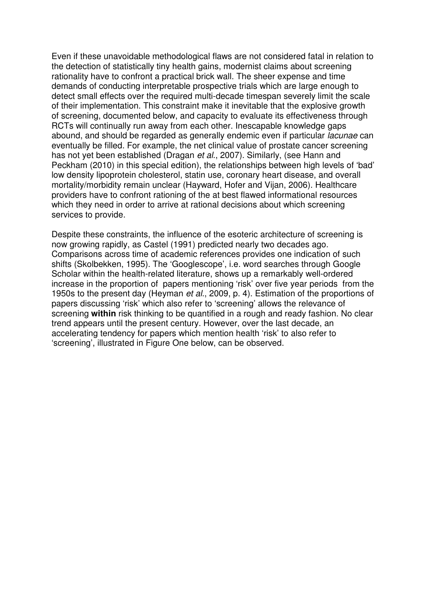Even if these unavoidable methodological flaws are not considered fatal in relation to the detection of statistically tiny health gains, modernist claims about screening rationality have to confront a practical brick wall. The sheer expense and time demands of conducting interpretable prospective trials which are large enough to detect small effects over the required multi-decade timespan severely limit the scale of their implementation. This constraint make it inevitable that the explosive growth of screening, documented below, and capacity to evaluate its effectiveness through RCTs will continually run away from each other. Inescapable knowledge gaps abound, and should be regarded as generally endemic even if particular lacunae can eventually be filled. For example, the net clinical value of prostate cancer screening has not yet been established (Dragan et al., 2007). Similarly, (see Hann and Peckham (2010) in this special edition), the relationships between high levels of 'bad' low density lipoprotein cholesterol, statin use, coronary heart disease, and overall mortality/morbidity remain unclear (Hayward, Hofer and Vijan, 2006). Healthcare providers have to confront rationing of the at best flawed informational resources which they need in order to arrive at rational decisions about which screening services to provide.

Despite these constraints, the influence of the esoteric architecture of screening is now growing rapidly, as Castel (1991) predicted nearly two decades ago. Comparisons across time of academic references provides one indication of such shifts (Skolbekken, 1995). The 'Googlescope', i.e. word searches through Google Scholar within the health-related literature, shows up a remarkably well-ordered increase in the proportion of papers mentioning 'risk' over five year periods from the 1950s to the present day (Heyman *et al.*, 2009, p. 4). Estimation of the proportions of papers discussing 'risk' which also refer to 'screening' allows the relevance of screening **within** risk thinking to be quantified in a rough and ready fashion. No clear trend appears until the present century. However, over the last decade, an accelerating tendency for papers which mention health 'risk' to also refer to 'screening', illustrated in Figure One below, can be observed.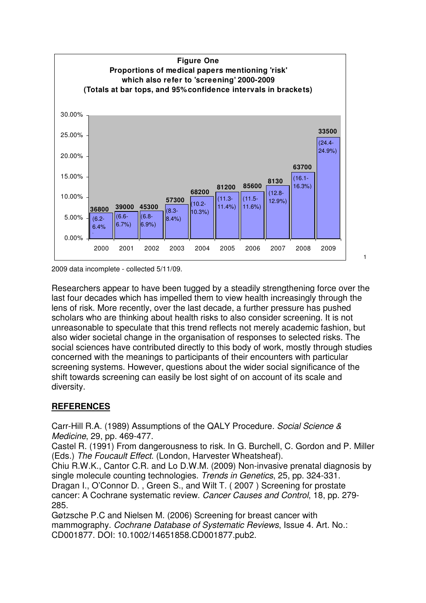

2009 data incomplete - collected 5/11/09.

Researchers appear to have been tugged by a steadily strengthening force over the last four decades which has impelled them to view health increasingly through the lens of risk. More recently, over the last decade, a further pressure has pushed scholars who are thinking about health risks to also consider screening. It is not unreasonable to speculate that this trend reflects not merely academic fashion, but also wider societal change in the organisation of responses to selected risks. The social sciences have contributed directly to this body of work, mostly through studies concerned with the meanings to participants of their encounters with particular screening systems. However, questions about the wider social significance of the shift towards screening can easily be lost sight of on account of its scale and diversity.

1

## **REFERENCES**

Carr-Hill R.A. (1989) Assumptions of the QALY Procedure. Social Science & Medicine, 29, pp. 469-477.

Castel R. (1991) From dangerousness to risk. In G. Burchell, C. Gordon and P. Miller (Eds.) The Foucault Effect. (London, Harvester Wheatsheaf).

Chiu R.W.K., Cantor C.R. and Lo D.W.M. (2009) Non-invasive prenatal diagnosis by single molecule counting technologies. Trends in Genetics, 25, pp. 324-331. Dragan I., O'Connor D. , Green S., and Wilt T. ( 2007 ) Screening for prostate cancer: A Cochrane systematic review. Cancer Causes and Control, 18, pp. 279- 285.

Gøtzsche P.C and Nielsen M. (2006) Screening for breast cancer with mammography. Cochrane Database of Systematic Reviews, Issue 4. Art. No.: CD001877. DOI: 10.1002/14651858.CD001877.pub2.